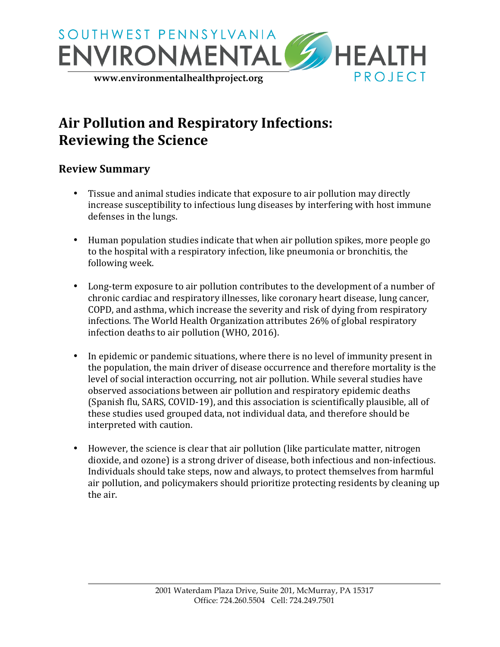

# Air Pollution and Respiratory Infections: **Reviewing the Science**

#### **Review Summary**

- Tissue and animal studies indicate that exposure to air pollution may directly increase susceptibility to infectious lung diseases by interfering with host immune defenses in the lungs.
- Human population studies indicate that when air pollution spikes, more people go to the hospital with a respiratory infection, like pneumonia or bronchitis, the following week.
- Long-term exposure to air pollution contributes to the development of a number of chronic cardiac and respiratory illnesses, like coronary heart disease, lung cancer, COPD, and asthma, which increase the severity and risk of dying from respiratory infections. The World Health Organization attributes 26% of global respiratory infection deaths to air pollution (WHO, 2016).
- In epidemic or pandemic situations, where there is no level of immunity present in the population, the main driver of disease occurrence and therefore mortality is the level of social interaction occurring, not air pollution. While several studies have observed associations between air pollution and respiratory epidemic deaths (Spanish flu, SARS, COVID-19), and this association is scientifically plausible, all of these studies used grouped data, not individual data, and therefore should be interpreted with caution.
- However, the science is clear that air pollution (like particulate matter, nitrogen dioxide, and ozone) is a strong driver of disease, both infectious and non-infectious. Individuals should take steps, now and always, to protect themselves from harmful air pollution, and policymakers should prioritize protecting residents by cleaning up the air.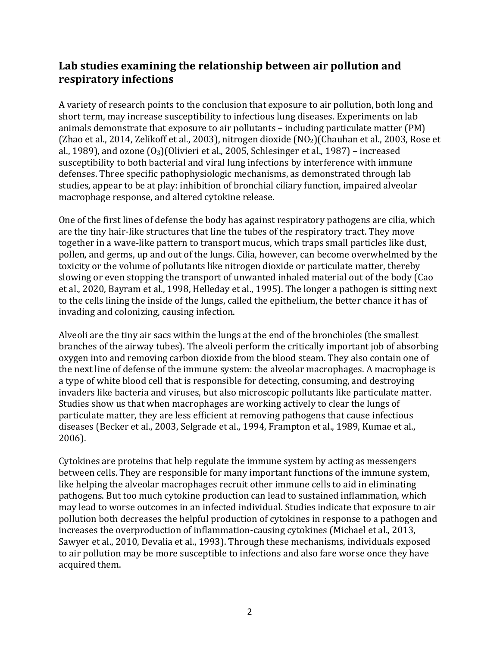### Lab studies examining the relationship between air pollution and **respiratory infections**

A variety of research points to the conclusion that exposure to air pollution, both long and short term, may increase susceptibility to infectious lung diseases. Experiments on lab animals demonstrate that exposure to air pollutants - including particulate matter (PM) (Zhao et al., 2014, Zelikoff et al., 2003), nitrogen dioxide  $NO<sub>2</sub>$ )(Chauhan et al., 2003, Rose et al., 1989), and ozone  $(0<sub>3</sub>)(0$ livieri et al., 2005, Schlesinger et al., 1987) – increased susceptibility to both bacterial and viral lung infections by interference with immune defenses. Three specific pathophysiologic mechanisms, as demonstrated through lab studies, appear to be at play: inhibition of bronchial ciliary function, impaired alveolar macrophage response, and altered cytokine release.

One of the first lines of defense the body has against respiratory pathogens are cilia, which are the tiny hair-like structures that line the tubes of the respiratory tract. They move together in a wave-like pattern to transport mucus, which traps small particles like dust, pollen, and germs, up and out of the lungs. Cilia, however, can become overwhelmed by the toxicity or the volume of pollutants like nitrogen dioxide or particulate matter, thereby slowing or even stopping the transport of unwanted inhaled material out of the body (Cao et al., 2020, Bayram et al., 1998, Helleday et al., 1995). The longer a pathogen is sitting next to the cells lining the inside of the lungs, called the epithelium, the better chance it has of invading and colonizing, causing infection.

Alveoli are the tiny air sacs within the lungs at the end of the bronchioles (the smallest branches of the airway tubes). The alveoli perform the critically important job of absorbing oxygen into and removing carbon dioxide from the blood steam. They also contain one of the next line of defense of the immune system: the alveolar macrophages. A macrophage is a type of white blood cell that is responsible for detecting, consuming, and destroying invaders like bacteria and viruses, but also microscopic pollutants like particulate matter. Studies show us that when macrophages are working actively to clear the lungs of particulate matter, they are less efficient at removing pathogens that cause infectious diseases (Becker et al., 2003, Selgrade et al., 1994, Frampton et al., 1989, Kumae et al., 2006).

Cytokines are proteins that help regulate the immune system by acting as messengers between cells. They are responsible for many important functions of the immune system, like helping the alveolar macrophages recruit other immune cells to aid in eliminating pathogens. But too much cytokine production can lead to sustained inflammation, which may lead to worse outcomes in an infected individual. Studies indicate that exposure to air pollution both decreases the helpful production of cytokines in response to a pathogen and increases the overproduction of inflammation-causing cytokines (Michael et al., 2013, Sawyer et al., 2010, Devalia et al., 1993). Through these mechanisms, individuals exposed to air pollution may be more susceptible to infections and also fare worse once they have acquired them.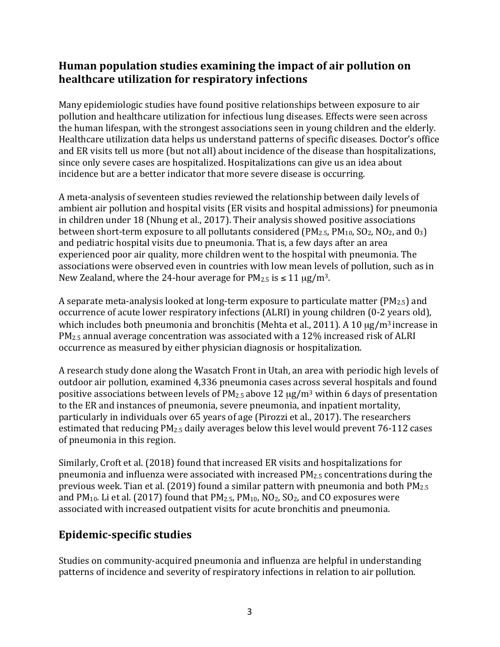#### **Human population studies examining the impact of air pollution on healthcare utilization for respiratory infections**

Many epidemiologic studies have found positive relationships between exposure to air pollution and healthcare utilization for infectious lung diseases. Effects were seen across the human lifespan, with the strongest associations seen in young children and the elderly. Healthcare utilization data helps us understand patterns of specific diseases. Doctor's office and ER visits tell us more (but not all) about incidence of the disease than hospitalizations, since only severe cases are hospitalized. Hospitalizations can give us an idea about incidence but are a better indicator that more severe disease is occurring.

A meta-analysis of seventeen studies reviewed the relationship between daily levels of ambient air pollution and hospital visits (ER visits and hospital admissions) for pneumonia in children under 18 (Nhung et al., 2017). Their analysis showed positive associations between short-term exposure to all pollutants considered  $(PM_{2.5}, PM_{10}, SO_2, NO_2, and O_3)$ and pediatric hospital visits due to pneumonia. That is, a few days after an area experienced poor air quality, more children went to the hospital with pneumonia. The associations were observed even in countries with low mean levels of pollution, such as in New Zealand, where the 24-hour average for  $PM_{2.5}$  is  $\leq 11 \mu g/m^3$ .

A separate meta-analysis looked at long-term exposure to particulate matter ( $PM_{2.5}$ ) and occurrence of acute lower respiratory infections (ALRI) in young children (0-2 years old), which includes both pneumonia and bronchitis (Mehta et al., 2011). A 10  $\mu$ g/m<sup>3</sup> increase in  $PM_{2.5}$  annual average concentration was associated with a 12% increased risk of ALRI occurrence as measured by either physician diagnosis or hospitalization.

A research study done along the Wasatch Front in Utah, an area with periodic high levels of outdoor air pollution, examined 4,336 pneumonia cases across several hospitals and found positive associations between levels of  $PM_{2.5}$  above 12  $\mu$ g/m<sup>3</sup> within 6 days of presentation to the ER and instances of pneumonia, severe pneumonia, and inpatient mortality, particularly in individuals over 65 years of age (Pirozzi et al., 2017). The researchers estimated that reducing  $PM_{2.5}$  daily averages below this level would prevent 76-112 cases of pneumonia in this region.

Similarly, Croft et al. (2018) found that increased ER visits and hospitalizations for pneumonia and influenza were associated with increased  $PM_{2.5}$  concentrations during the previous week. Tian et al. (2019) found a similar pattern with pneumonia and both  $PM_{2.5}$ and  $PM_{10}$ . Li et al. (2017) found that  $PM_{2.5}$ ,  $PM_{10}$ ,  $NO<sub>2</sub>$ ,  $SO<sub>2</sub>$ , and CO exposures were associated with increased outpatient visits for acute bronchitis and pneumonia.

### **Epidemic-specific studies**

Studies on community-acquired pneumonia and influenza are helpful in understanding patterns of incidence and severity of respiratory infections in relation to air pollution.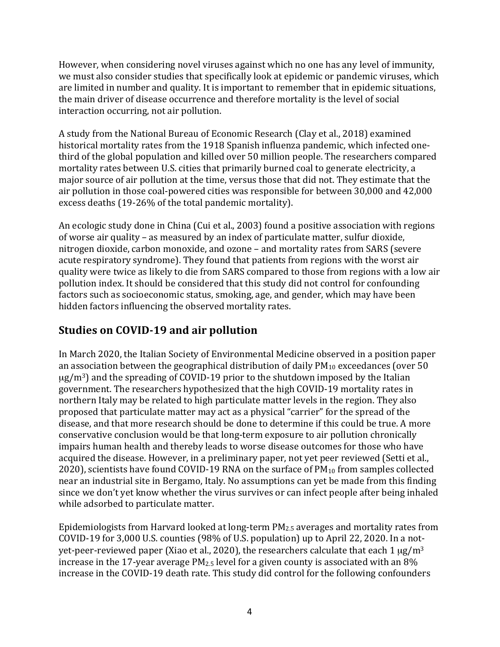However, when considering novel viruses against which no one has any level of immunity, we must also consider studies that specifically look at epidemic or pandemic viruses, which are limited in number and quality. It is important to remember that in epidemic situations, the main driver of disease occurrence and therefore mortality is the level of social interaction occurring, not air pollution.

A study from the National Bureau of Economic Research (Clay et al., 2018) examined historical mortality rates from the 1918 Spanish influenza pandemic, which infected onethird of the global population and killed over 50 million people. The researchers compared mortality rates between U.S. cities that primarily burned coal to generate electricity, a major source of air pollution at the time, versus those that did not. They estimate that the air pollution in those coal-powered cities was responsible for between 30,000 and 42,000 excess deaths  $(19-26\%$  of the total pandemic mortality).

An ecologic study done in China (Cui et al., 2003) found a positive association with regions of worse air quality – as measured by an index of particulate matter, sulfur dioxide, nitrogen dioxide, carbon monoxide, and ozone – and mortality rates from SARS (severe acute respiratory syndrome). They found that patients from regions with the worst air quality were twice as likely to die from SARS compared to those from regions with a low air pollution index. It should be considered that this study did not control for confounding factors such as socioeconomic status, smoking, age, and gender, which may have been hidden factors influencing the observed mortality rates.

## **Studies on COVID-19 and air pollution**

In March 2020, the Italian Society of Environmental Medicine observed in a position paper an association between the geographical distribution of daily  $PM_{10}$  exceedances (over 50  $\mu$ g/m<sup>3</sup>) and the spreading of COVID-19 prior to the shutdown imposed by the Italian government. The researchers hypothesized that the high COVID-19 mortality rates in northern Italy may be related to high particulate matter levels in the region. They also proposed that particulate matter may act as a physical "carrier" for the spread of the disease, and that more research should be done to determine if this could be true. A more conservative conclusion would be that long-term exposure to air pollution chronically impairs human health and thereby leads to worse disease outcomes for those who have acquired the disease. However, in a preliminary paper, not yet peer reviewed (Setti et al., 2020), scientists have found COVID-19 RNA on the surface of  $PM_{10}$  from samples collected near an industrial site in Bergamo, Italy. No assumptions can yet be made from this finding since we don't yet know whether the virus survives or can infect people after being inhaled while adsorbed to particulate matter.

Epidemiologists from Harvard looked at long-term  $PM_{2.5}$  averages and mortality rates from COVID-19 for 3,000 U.S. counties (98% of U.S. population) up to April 22, 2020. In a notyet-peer-reviewed paper (Xiao et al., 2020), the researchers calculate that each  $1 \mu g/m^3$ increase in the 17-year average  $PM_{2.5}$  level for a given county is associated with an 8% increase in the COVID-19 death rate. This study did control for the following confounders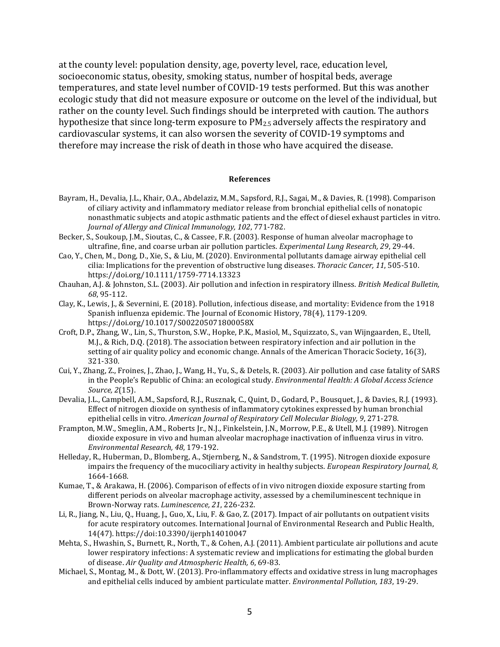at the county level: population density, age, poverty level, race, education level, socioeconomic status, obesity, smoking status, number of hospital beds, average temperatures, and state level number of COVID-19 tests performed. But this was another ecologic study that did not measure exposure or outcome on the level of the individual, but rather on the county level. Such findings should be interpreted with caution. The authors hypothesize that since long-term exposure to  $PM_{2.5}$  adversely affects the respiratory and cardiovascular systems, it can also worsen the severity of COVID-19 symptoms and therefore may increase the risk of death in those who have acquired the disease.

#### **References**

- Bayram, H., Devalia, J.L., Khair, O.A., Abdelaziz, M.M., Sapsford, R.J., Sagai, M., & Davies, R. (1998). Comparison of ciliary activity and inflammatory mediator release from bronchial epithelial cells of nonatopic nonasthmatic subjects and atopic asthmatic patients and the effect of diesel exhaust particles in vitro. *Journal of Allergy and Clinical Immunology, 102, 771-782.*
- Becker, S., Soukoup, J.M., Sioutas, C., & Cassee, F.R. (2003). Response of human alveolar macrophage to ultrafine, fine, and coarse urban air pollution particles. *Experimental Lung Research*, 29, 29-44.
- Cao, Y., Chen, M., Dong, D., Xie, S., & Liu, M. (2020). Environmental pollutants damage airway epithelial cell cilia: Implications for the prevention of obstructive lung diseases. *Thoracic Cancer*, 11, 505-510. <https://doi.org/10.1111/1759-7714.13323>
- Chauhan, A.J. & Johnston, S.L. (2003). Air pollution and infection in respiratory illness. *British Medical Bulletin*, *68*, 95-112.
- Clay, K., Lewis, J., & Severnini, E. (2018). Pollution, infectious disease, and mortality: Evidence from the 1918 Spanish influenza epidemic. The Journal of Economic History, 78(4), 1179-1209. https://doi.org/10.1017/S002205071800058X
- Croft, D.P., Zhang, W., Lin, S., Thurston, S.W., Hopke, P.K., Masiol, M., Squizzato, S., van Wijngaarden, E., Utell, M.J., & Rich, D.Q. (2018). The association between respiratory infection and air pollution in the setting of air quality policy and economic change. Annals of the American Thoracic Society, 16(3), 321-330.
- Cui, Y., Zhang, Z., Froines, J., Zhao, J., Wang, H., Yu, S., & Detels, R. (2003). Air pollution and case fatality of SARS in the People's Republic of China: an ecological study. *Environmental Health: A Global Access Science Source, 2*(15).
- Devalia, J.L., Campbell, A.M., Sapsford, R.J., Rusznak, C., Quint, D., Godard, P., Bousquet, J., & Davies, R.J. (1993). Effect of nitrogen dioxide on synthesis of inflammatory cytokines expressed by human bronchial epithelial cells in vitro. American Journal of Respiratory Cell Molecular Biology, 9, 271-278.
- Frampton, M.W., Smeglin, A.M., Roberts Ir., N.J., Finkelstein, J.N., Morrow, P.E., & Utell, M.J. (1989). Nitrogen dioxide exposure in vivo and human alveolar macrophage inactivation of influenza virus in vitro. *Environmental Research, 48*, 179-192.
- Helleday, R., Huberman, D., Blomberg, A., Stjernberg, N., & Sandstrom, T. (1995). Nitrogen dioxide exposure impairs the frequency of the mucociliary activity in healthy subjects. *European Respiratory Journal*, 8, 1664-1668.
- Kumae, T., & Arakawa, H. (2006). Comparison of effects of in vivo nitrogen dioxide exposure starting from different periods on alveolar macrophage activity, assessed by a chemiluminescent technique in Brown-Norway rats. *Luminescence*, 21, 226-232.
- Li, R., Jiang, N., Liu, Q., Huang, J., Guo, X., Liu, F. & Gao, Z. (2017). Impact of air pollutants on outpatient visits for acute respiratory outcomes. International Journal of Environmental Research and Public Health, 14(47). https://doi:10.3390/ijerph14010047
- Mehta, S., Hwashin, S., Burnett, R., North, T., & Cohen, A.J. (2011). Ambient particulate air pollutions and acute lower respiratory infections: A systematic review and implications for estimating the global burden of disease. Air Quality and Atmospheric Health, 6, 69-83.
- Michael, S., Montag, M., & Dott, W. (2013). Pro-inflammatory effects and oxidative stress in lung macrophages and epithelial cells induced by ambient particulate matter. *Environmental Pollution*, 183, 19-29.